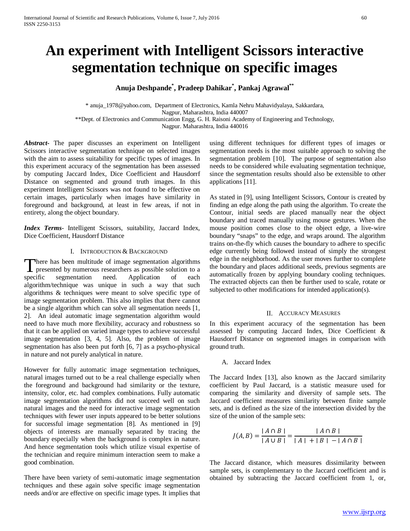# **An experiment with Intelligent Scissors interactive segmentation technique on specific images**

**Anuja Deshpande\* , Pradeep Dahikar\* , Pankaj Agrawal\*\***

\* anuja\_1978@yahoo.com, Department of Electronics, Kamla Nehru Mahavidyalaya, Sakkardara, Nagpur, Maharashtra, India 440007 \*\*Dept. of Electronics and Communication Engg, G. H. Raisoni Academy of Engineering and Technology, Nagpur. Maharashtra, India 440016

*Abstract***-** The paper discusses an experiment on Intelligent Scissors interactive segmentation technique on selected images with the aim to assess suitability for specific types of images. In this experiment accuracy of the segmentation has been assessed by computing Jaccard Index, Dice Coefficient and Hausdorrf Distance on segmented and ground truth images. In this experiment Intelligent Scissors was not found to be effective on certain images, particularly when images have similarity in foreground and background, at least in few areas, if not in entirety, along the object boundary.

*Index Terms*- Intelligent Scissors, suitability, Jaccard Index, Dice Coefficient, Hausdorrf Distance

## I. INTRODUCTION & BACKGROUND

here has been multitude of image segmentation algorithms There has been multitude of image segmentation algorithms<br>presented by numerous researchers as possible solution to a specific segmentation need. Application of each algorithm/technique was unique in such a way that such algorithms & techniques were meant to solve specific type of image segmentation problem. This also implies that there cannot be a single algorithm which can solve all segmentation needs [1, 2]. An ideal automatic image segmentation algorithm would need to have much more flexibility, accuracy and robustness so that it can be applied on varied image types to achieve successful image segmentation [3, 4, 5]. Also, the problem of image segmentation has also been put forth [6, 7] as a psycho-physical in nature and not purely analytical in nature.

However for fully automatic image segmentation techniques, natural images turned out to be a real challenge especially when the foreground and background had similarity or the texture, intensity, color, etc. had complex combinations. Fully automatic image segmentation algorithms did not succeed well on such natural images and the need for interactive image segmentation techniques with fewer user inputs appeared to be better solutions for successful image segmentation [8]. As mentioned in [9] objects of interests are manually separated by tracing the boundary especially when the background is complex in nature. And hence segmentation tools which utilize visual expertise of the technician and require minimum interaction seem to make a good combination.

There have been variety of semi-automatic image segmentation techniques and these again solve specific image segmentation needs and/or are effective on specific image types. It implies that using different techniques for different types of images or segmentation needs is the most suitable approach to solving the segmentation problem [10]. The purpose of segmentation also needs to be considered while evaluating segmentation technique, since the segmentation results should also be extensible to other applications [11].

As stated in [9], using Intelligent Scissors, Contour is created by finding an edge along the path using the algorithm. To create the Contour, initial seeds are placed manually near the object boundary and traced manually using mouse gestures. When the mouse position comes close to the object edge, a live-wire boundary "snaps" to the edge, and wraps around. The algorithm trains on-the-fly which causes the boundary to adhere to specific edge currently being followed instead of simply the strongest edge in the neighborhood. As the user moves further to complete the boundary and places additional seeds, previous segments are automatically frozen by applying boundary cooling techniques. The extracted objects can then be further used to scale, rotate or subjected to other modifications for intended application(s).

## II. ACCURACY MEASURES

In this experiment accuracy of the segmentation has been assessed by computing Jaccard Index, Dice Coefficient & Hausdorrf Distance on segmented images in comparison with ground truth.

## A. Jaccard Index

The Jaccard Index [13], also known as the Jaccard similarity coefficient by Paul Jaccard, is a statistic measure used for comparing the similarity and diversity of sample sets. The Jaccard coefficient measures similarity between finite sample sets, and is defined as the size of the intersection divided by the size of the union of the sample sets:

$$
J(A, B) = \frac{|A \cap B|}{|A \cup B|} = \frac{|A \cap B|}{|A| + |B| - |A \cap B|}
$$

The Jaccard distance, which measures dissimilarity between sample sets, is complementary to the Jaccard coefficient and is obtained by subtracting the Jaccard coefficient from 1, or,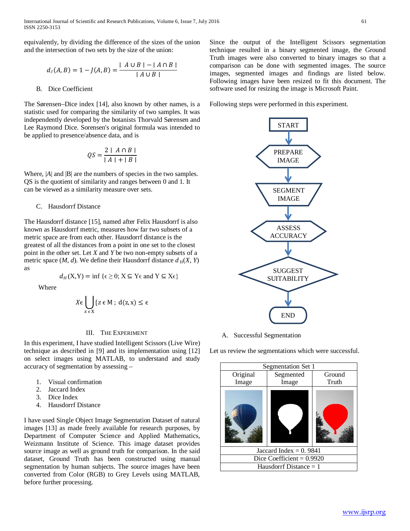International Journal of Scientific and Research Publications, Volume 6, Issue 7, July 2016 61 ISSN 2250-3153

equivalently, by dividing the difference of the sizes of the union and the intersection of two sets by the size of the union:

$$
d_J(A, B) = 1 - J(A, B) = \frac{|A \cup B| - |A \cap B|}{|A \cup B|}
$$

## B. Dice Coefficient

The Sørensen–Dice index [14], also known by other names, is a statistic used for comparing the similarity of two samples. It was independently developed by the botanists Thorvald Sørensen and Lee Raymond Dice. Sorensen's original formula was intended to be applied to presence/absence data, and is

$$
QS = \frac{2 | A \cap B |}{|A| + |B|}
$$

Where, |*A*| and |**B**| are the numbers of species in the two samples. QS is the quotient of similarity and ranges between 0 and 1. It can be viewed as a similarity measure over sets.

## C. Hausdorrf Distance

The Hausdorrf distance [15], named after Felix Hausdorrf is also known as Hausdorrf metric, measures how far two subsets of a metric space are from each other. Hausdorrf distance is the greatest of all the distances from a point in one set to the closest point in the other set. Let *X* and *Y* be two non-empty subsets of a metric space  $(M, d)$ . We define their Hausdorrf distance  $d_H(X, Y)$ as

$$
d_H(X,Y) = \inf \{ \epsilon \ge 0; X \subseteq Y \epsilon \text{ and } Y \subseteq X \epsilon \}
$$

Where

$$
X \epsilon \bigcup_{x \in X} \{ z \epsilon M \, ; \, d(z, x) \le \epsilon
$$

## III. THE EXPERIMENT

In this experiment, I have studied Intelligent Scissors (Live Wire) technique as described in [9] and its implementation using [12] on select images using MATLAB, to understand and study accuracy of segmentation by assessing –

- 1. Visual confirmation
- 2. Jaccard Index
- 3. Dice Index
- 4. Hausdorrf Distance

I have used Single Object Image Segmentation Dataset of natural images [13] as made freely available for research purposes, by Department of Computer Science and Applied Mathematics, Weizmann Institute of Science. This image dataset provides source image as well as ground truth for comparison. In the said dataset, Ground Truth has been constructed using manual segmentation by human subjects. The source images have been converted from Color (RGB) to Grey Levels using MATLAB, before further processing.

Since the output of the Intelligent Scissors segmentation technique resulted in a binary segmented image, the Ground Truth images were also converted to binary images so that a comparison can be done with segmented images. The source images, segmented images and findings are listed below. Following images have been resized to fit this document. The software used for resizing the image is Microsoft Paint.

Following steps were performed in this experiment.



A. Successful Segmentation

Let us review the segmentations which were successful.

| Segmentation Set 1          |           |        |  |
|-----------------------------|-----------|--------|--|
| Original                    | Segmented | Ground |  |
| Image                       | Image     | Truth  |  |
|                             |           |        |  |
| Jaccard Index = $0.9841$    |           |        |  |
| Dice Coefficient = $0.9920$ |           |        |  |
| Hausdorrf Distance $= 1$    |           |        |  |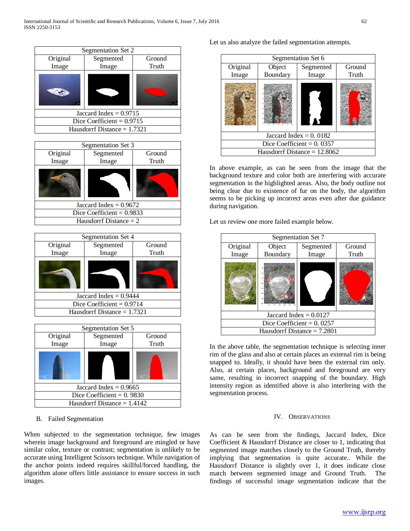| Segmentation Set 2            |           |        |  |
|-------------------------------|-----------|--------|--|
| Original                      | Segmented | Ground |  |
| Image                         | Image     | Truth  |  |
|                               |           |        |  |
| Jaccard Index = $0.9715$      |           |        |  |
| Dice Coefficient = $0.9715$   |           |        |  |
| Hausdorrf Distance $= 1.7321$ |           |        |  |

|          | Segmentation Set 3          |        |  |
|----------|-----------------------------|--------|--|
| Original | Segmented                   | Ground |  |
| Image    | Image                       | Truth  |  |
|          |                             |        |  |
|          | Jaccard Index = $0.9672$    |        |  |
|          | Dice Coefficient = $0.9833$ |        |  |
|          | Hausdorrf Distance $= 2$    |        |  |

| Segmentation Set 4            |                             |        |  |
|-------------------------------|-----------------------------|--------|--|
| Original                      | Segmented                   | Ground |  |
| Image                         | Image                       | Truth  |  |
|                               |                             |        |  |
| Jaccard Index = $0.9444$      |                             |        |  |
|                               | Dice Coefficient = $0.9714$ |        |  |
| Hausdorrf Distance $= 1.7321$ |                             |        |  |
|                               |                             |        |  |



# B. Failed Segmentation

When subjected to the segmentation technique, few images wherein image background and foreground are mingled or have similar color, texture or contrast; segmentation is unlikely to be accurate using Intelligent Scissors technique. While navigation of the anchor points indeed requires skillful/forced handling, the algorithm alone offers little assistance to ensure success in such images.

Let us also analyze the failed segmentation attempts.

| Segmentation Set 6             |                    |                    |                 |
|--------------------------------|--------------------|--------------------|-----------------|
| Original<br>Image              | Object<br>Boundary | Segmented<br>Image | Ground<br>Truth |
|                                |                    |                    |                 |
|                                |                    |                    |                 |
| Jaccard Index = $0.0182$       |                    |                    |                 |
| Dice Coefficient = $0.0357$    |                    |                    |                 |
| Hausdorrf Distance $= 12.8062$ |                    |                    |                 |

In above example, as can be seen from the image that the background texture and color both are interfering with accurate segmentation in the highlighted areas. Also, the body outline not being clear due to existence of fur on the body, the algorithm seems to be picking up incorrect areas even after due guidance during navigation.

Let us review one more failed example below.

| Segmentation Set 7            |          |           |        |
|-------------------------------|----------|-----------|--------|
| Original                      | Object   | Segmented | Ground |
| Image                         | Boundary | Image     | Truth  |
|                               |          |           |        |
| Jaccard Index = $0.0127$      |          |           |        |
| Dice Coefficient = $0.0257$   |          |           |        |
| Hausdorrf Distance $= 7.2801$ |          |           |        |

In the above table, the segmentation technique is selecting inner rim of the glass and also at certain places an external rim is being snapped to. Ideally, it should have been the external rim only. Also, at certain places, background and foreground are very same, resulting in incorrect snapping of the boundary. High intensity region as identified above is also interfering with the segmentation process.

# IV. OBSERVATIONS

As can be seen from the findings, Jaccard Index, Dice Coefficient & Hausdorrf Distance are closer to 1, indicating that segmented image matches closely to the Ground Truth, thereby implying that segmentation is quite accurate.. While the Hausdorrf Distance is slightly over 1, it does indicate close match between segmented image and Ground Truth. The findings of successful image segmentation indicate that the